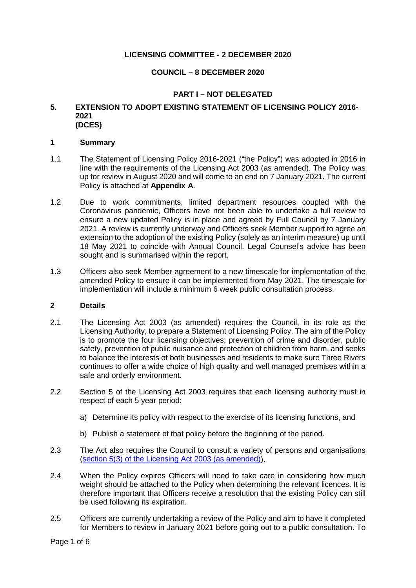# **LICENSING COMMITTEE - 2 DECEMBER 2020**

# **COUNCIL – 8 DECEMBER 2020**

# **PART I – NOT DELEGATED**

#### **5. EXTENSION TO ADOPT EXISTING STATEMENT OF LICENSING POLICY 2016- 2021 (DCES)**

#### **1 Summary**

- 1.1 The Statement of Licensing Policy 2016-2021 ("the Policy") was adopted in 2016 in line with the requirements of the Licensing Act 2003 (as amended). The Policy was up for review in August 2020 and will come to an end on 7 January 2021. The current Policy is attached at **Appendix A**.
- 1.2 Due to work commitments, limited department resources coupled with the Coronavirus pandemic, Officers have not been able to undertake a full review to ensure a new updated Policy is in place and agreed by Full Council by 7 January 2021. A review is currently underway and Officers seek Member support to agree an extension to the adoption of the existing Policy (solely as an interim measure) up until 18 May 2021 to coincide with Annual Council. Legal Counsel's advice has been sought and is summarised within the report.
- 1.3 Officers also seek Member agreement to a new timescale for implementation of the amended Policy to ensure it can be implemented from May 2021. The timescale for implementation will include a minimum 6 week public consultation process.

## **2 Details**

- 2.1 The Licensing Act 2003 (as amended) requires the Council, in its role as the Licensing Authority, to prepare a Statement of Licensing Policy. The aim of the Policy is to promote the four licensing objectives; prevention of crime and disorder, public safety, prevention of public nuisance and protection of children from harm, and seeks to balance the interests of both businesses and residents to make sure Three Rivers continues to offer a wide choice of high quality and well managed premises within a safe and orderly environment.
- 2.2 Section 5 of the Licensing Act 2003 requires that each licensing authority must in respect of each 5 year period:
	- a) Determine its policy with respect to the exercise of its licensing functions, and
	- b) Publish a statement of that policy before the beginning of the period.
- 2.3 The Act also requires the Council to consult a variety of persons and organisations [\(section 5\(3\) of the Licensing Act 2003 \(as amended\)\)](https://www.legislation.gov.uk/ukpga/2003/17/section/5).
- 2.4 When the Policy expires Officers will need to take care in considering how much weight should be attached to the Policy when determining the relevant licences. It is therefore important that Officers receive a resolution that the existing Policy can still be used following its expiration.
- 2.5 Officers are currently undertaking a review of the Policy and aim to have it completed for Members to review in January 2021 before going out to a public consultation. To

Page 1 of 6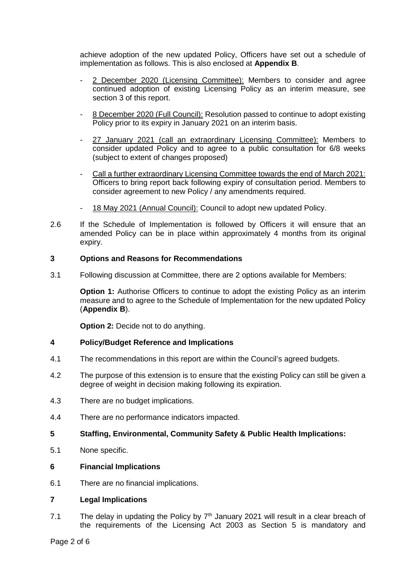achieve adoption of the new updated Policy, Officers have set out a schedule of implementation as follows. This is also enclosed at **Appendix B**.

- 2 December 2020 (Licensing Committee): Members to consider and agree continued adoption of existing Licensing Policy as an interim measure, see section 3 of this report.
- 8 December 2020 (Full Council): Resolution passed to continue to adopt existing Policy prior to its expiry in January 2021 on an interim basis.
- 27 January 2021 (call an extraordinary Licensing Committee): Members to consider updated Policy and to agree to a public consultation for 6/8 weeks (subject to extent of changes proposed)
- Call a further extraordinary Licensing Committee towards the end of March 2021: Officers to bring report back following expiry of consultation period. Members to consider agreement to new Policy / any amendments required.
- 18 May 2021 (Annual Council): Council to adopt new updated Policy.
- 2.6 If the Schedule of Implementation is followed by Officers it will ensure that an amended Policy can be in place within approximately 4 months from its original expiry.

## **3 Options and Reasons for Recommendations**

3.1 Following discussion at Committee, there are 2 options available for Members:

**Option 1:** Authorise Officers to continue to adopt the existing Policy as an interim measure and to agree to the Schedule of Implementation for the new updated Policy (**Appendix B**).

**Option 2: Decide not to do anything.** 

## **4 Policy/Budget Reference and Implications**

- 4.1 The recommendations in this report are within the Council's agreed budgets.
- 4.2 The purpose of this extension is to ensure that the existing Policy can still be given a degree of weight in decision making following its expiration.
- 4.3 There are no budget implications.
- 4.4 There are no performance indicators impacted.

## **5 Staffing, Environmental, Community Safety & Public Health Implications:**

5.1 None specific.

#### **6 Financial Implications**

6.1 There are no financial implications.

#### **7 Legal Implications**

7.1 The delay in updating the Policy by  $7<sup>th</sup>$  January 2021 will result in a clear breach of the requirements of the Licensing Act 2003 as Section 5 is mandatory and

Page 2 of 6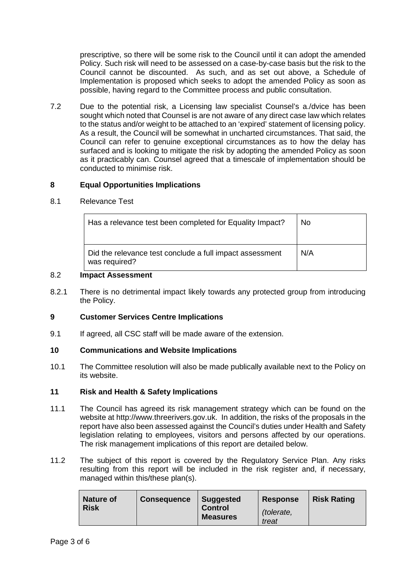prescriptive, so there will be some risk to the Council until it can adopt the amended Policy. Such risk will need to be assessed on a case-by-case basis but the risk to the Council cannot be discounted. As such, and as set out above, a Schedule of Implementation is proposed which seeks to adopt the amended Policy as soon as possible, having regard to the Committee process and public consultation.

7.2 Due to the potential risk, a Licensing law specialist Counsel's a./dvice has been sought which noted that Counsel is are not aware of any direct case law which relates to the status and/or weight to be attached to an 'expired' statement of licensing policy. As a result, the Council will be somewhat in uncharted circumstances. That said, the Council can refer to genuine exceptional circumstances as to how the delay has surfaced and is looking to mitigate the risk by adopting the amended Policy as soon as it practicably can. Counsel agreed that a timescale of implementation should be conducted to minimise risk.

## **8 Equal Opportunities Implications**

#### 8.1 Relevance Test

| Has a relevance test been completed for Equality Impact?                  | No. |
|---------------------------------------------------------------------------|-----|
| Did the relevance test conclude a full impact assessment<br>was required? | N/A |

#### 8.2 **Impact Assessment**

8.2.1 There is no detrimental impact likely towards any protected group from introducing the Policy.

## **9 Customer Services Centre Implications**

9.1 If agreed, all CSC staff will be made aware of the extension.

## **10 Communications and Website Implications**

10.1 The Committee resolution will also be made publically available next to the Policy on its website.

#### **11 Risk and Health & Safety Implications**

- 11.1 The Council has agreed its risk management strategy which can be found on the website at http://www.threerivers.gov.uk. In addition, the risks of the proposals in the report have also been assessed against the Council's duties under Health and Safety legislation relating to employees, visitors and persons affected by our operations. The risk management implications of this report are detailed below.
- 11.2 The subject of this report is covered by the Regulatory Service Plan. Any risks resulting from this report will be included in the risk register and, if necessary, managed within this/these plan(s).

| <b>Nature of</b><br><b>Risk</b> | <b>Consequence</b> | <b>Suggested</b><br><b>Control</b> | <b>Response</b>     | <b>Risk Rating</b> |
|---------------------------------|--------------------|------------------------------------|---------------------|--------------------|
|                                 |                    | <b>Measures</b>                    | (tolerate,<br>treat |                    |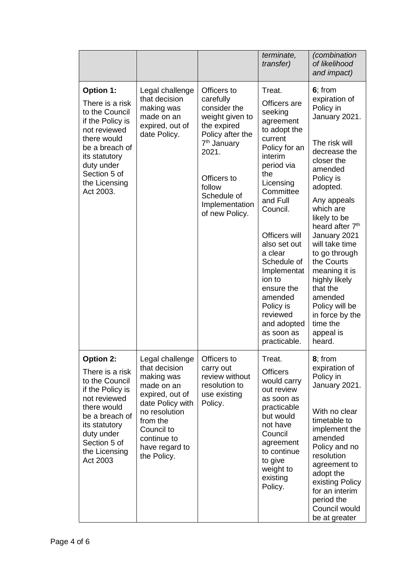|                                                                                                                                                                                                         |                                                                                                                                                                                                |                                                                                                                                                                                                                | terminate,<br>transfer)                                                                                                                                                                                                                                                                                                                                         | (combination<br>of likelihood<br>and impact)                                                                                                                                                                                                                                                                                                                                                                           |
|---------------------------------------------------------------------------------------------------------------------------------------------------------------------------------------------------------|------------------------------------------------------------------------------------------------------------------------------------------------------------------------------------------------|----------------------------------------------------------------------------------------------------------------------------------------------------------------------------------------------------------------|-----------------------------------------------------------------------------------------------------------------------------------------------------------------------------------------------------------------------------------------------------------------------------------------------------------------------------------------------------------------|------------------------------------------------------------------------------------------------------------------------------------------------------------------------------------------------------------------------------------------------------------------------------------------------------------------------------------------------------------------------------------------------------------------------|
| <b>Option 1:</b><br>There is a risk<br>to the Council<br>if the Policy is<br>not reviewed<br>there would<br>be a breach of<br>its statutory<br>duty under<br>Section 5 of<br>the Licensing<br>Act 2003. | Legal challenge<br>that decision<br>making was<br>made on an<br>expired, out of<br>date Policy.                                                                                                | Officers to<br>carefully<br>consider the<br>weight given to<br>the expired<br>Policy after the<br>7 <sup>th</sup> January<br>2021.<br>Officers to<br>follow<br>Schedule of<br>Implementation<br>of new Policy. | Treat.<br>Officers are<br>seeking<br>agreement<br>to adopt the<br>current<br>Policy for an<br>interim<br>period via<br>the<br>Licensing<br>Committee<br>and Full<br>Council.<br>Officers will<br>also set out<br>a clear<br>Schedule of<br>Implementat<br>ion to<br>ensure the<br>amended<br>Policy is<br>reviewed<br>and adopted<br>as soon as<br>practicable. | 6; from<br>expiration of<br>Policy in<br>January 2021.<br>The risk will<br>decrease the<br>closer the<br>amended<br>Policy is<br>adopted.<br>Any appeals<br>which are<br>likely to be<br>heard after 7 <sup>th</sup><br>January 2021<br>will take time<br>to go through<br>the Courts<br>meaning it is<br>highly likely<br>that the<br>amended<br>Policy will be<br>in force by the<br>time the<br>appeal is<br>heard. |
| <b>Option 2:</b><br>There is a risk<br>to the Council<br>if the Policy is<br>not reviewed<br>there would<br>be a breach of<br>its statutory<br>duty under<br>Section 5 of<br>the Licensing<br>Act 2003  | Legal challenge<br>that decision<br>making was<br>made on an<br>expired, out of<br>date Policy with<br>no resolution<br>from the<br>Council to<br>continue to<br>have regard to<br>the Policy. | Officers to<br>carry out<br>review without<br>resolution to<br>use existing<br>Policy.                                                                                                                         | Treat.<br><b>Officers</b><br>would carry<br>out review<br>as soon as<br>practicable<br>but would<br>not have<br>Council<br>agreement<br>to continue<br>to give<br>weight to<br>existing<br>Policy.                                                                                                                                                              | 8; from<br>expiration of<br>Policy in<br>January 2021.<br>With no clear<br>timetable to<br>implement the<br>amended<br>Policy and no<br>resolution<br>agreement to<br>adopt the<br>existing Policy<br>for an interim<br>period the<br>Council would<br>be at greater                                                                                                                                                   |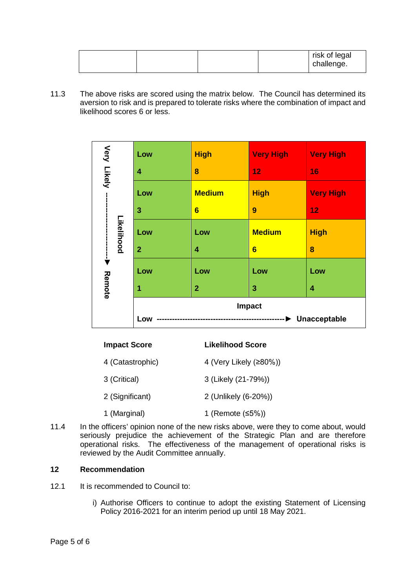|  |  | risk of legal<br>challenge. |
|--|--|-----------------------------|
|  |  |                             |

11.3 The above risks are scored using the matrix below. The Council has determined its aversion to risk and is prepared to tolerate risks where the combination of impact and likelihood scores 6 or less.

| Very Likely --                                                                                                                                 |                                     | Low                                   | <b>High</b>             | <b>Very High</b> | <b>Very High</b>                                                                                                                                                                                                                           |
|------------------------------------------------------------------------------------------------------------------------------------------------|-------------------------------------|---------------------------------------|-------------------------|------------------|--------------------------------------------------------------------------------------------------------------------------------------------------------------------------------------------------------------------------------------------|
|                                                                                                                                                |                                     | 4                                     | 8                       | 12               | 16                                                                                                                                                                                                                                         |
|                                                                                                                                                |                                     | Low                                   | <b>Medium</b>           | <b>High</b>      | <b>Very High</b>                                                                                                                                                                                                                           |
|                                                                                                                                                |                                     | 3                                     | $6\phantom{1}$          | 9                | 12                                                                                                                                                                                                                                         |
|                                                                                                                                                | Likelihood                          | Low                                   | Low                     | <b>Medium</b>    | <b>High</b>                                                                                                                                                                                                                                |
| $\frac{1}{2}$                                                                                                                                  |                                     | $\overline{2}$                        | 4                       | $6\phantom{1}$   | 8                                                                                                                                                                                                                                          |
|                                                                                                                                                |                                     | Low                                   | Low                     | Low              | Low                                                                                                                                                                                                                                        |
| Remote                                                                                                                                         |                                     | 1                                     | $\overline{2}$          | 3                | 4                                                                                                                                                                                                                                          |
|                                                                                                                                                |                                     | Low                                   |                         | Impact           | Unacceptable                                                                                                                                                                                                                               |
|                                                                                                                                                | <b>Impact Score</b>                 |                                       | <b>Likelihood Score</b> |                  |                                                                                                                                                                                                                                            |
|                                                                                                                                                |                                     | 4 (Catastrophic)                      | 4 (Very Likely (≥80%))  |                  |                                                                                                                                                                                                                                            |
|                                                                                                                                                | 3 (Critical)<br>3 (Likely (21-79%)) |                                       |                         |                  |                                                                                                                                                                                                                                            |
| 2 (Significant)<br>2 (Unlikely (6-20%))                                                                                                        |                                     |                                       |                         |                  |                                                                                                                                                                                                                                            |
| 1 (Marginal)<br>1 (Remote (≤5%))                                                                                                               |                                     |                                       |                         |                  |                                                                                                                                                                                                                                            |
|                                                                                                                                                |                                     | ewed by the Audit Committee annually. |                         |                  | ne officers' opinion none of the new risks above, were they to come about, would<br>ously prejudice the achievement of the Strategic Plan and are therefore<br>rational risks. The effectiveness of the management of operational risks is |
|                                                                                                                                                | <b>commendation</b>                 |                                       |                         |                  |                                                                                                                                                                                                                                            |
|                                                                                                                                                |                                     | recommended to Council to:            |                         |                  |                                                                                                                                                                                                                                            |
| i) Authorise Officers to continue to adopt the existing Statement of Licensing<br>Policy 2016-2021 for an interim period up until 18 May 2021. |                                     |                                       |                         |                  |                                                                                                                                                                                                                                            |

| <b>Impact Score</b> | Likelihood Score       |  |  |
|---------------------|------------------------|--|--|
| 4 (Catastrophic)    | 4 (Very Likely (≥80%)) |  |  |
| 3 (Critical)        | 3 (Likely (21-79%))    |  |  |
| 2 (Significant)     | 2 (Unlikely (6-20%))   |  |  |
| 1 (Marginal)        | 1 (Remote $≤5%)$ )     |  |  |

11.4 In the officers' opinion none of the new risks above, were they to come about, would seriously prejudice the achievement of the Strategic Plan and are therefore operational risks. The effectiveness of the management of operational risks is reviewed by the Audit Committee annually.

## **12 Recommendation**

- 12.1 It is recommended to Council to:
	- i) Authorise Officers to continue to adopt the existing Statement of Licensing Policy 2016-2021 for an interim period up until 18 May 2021.